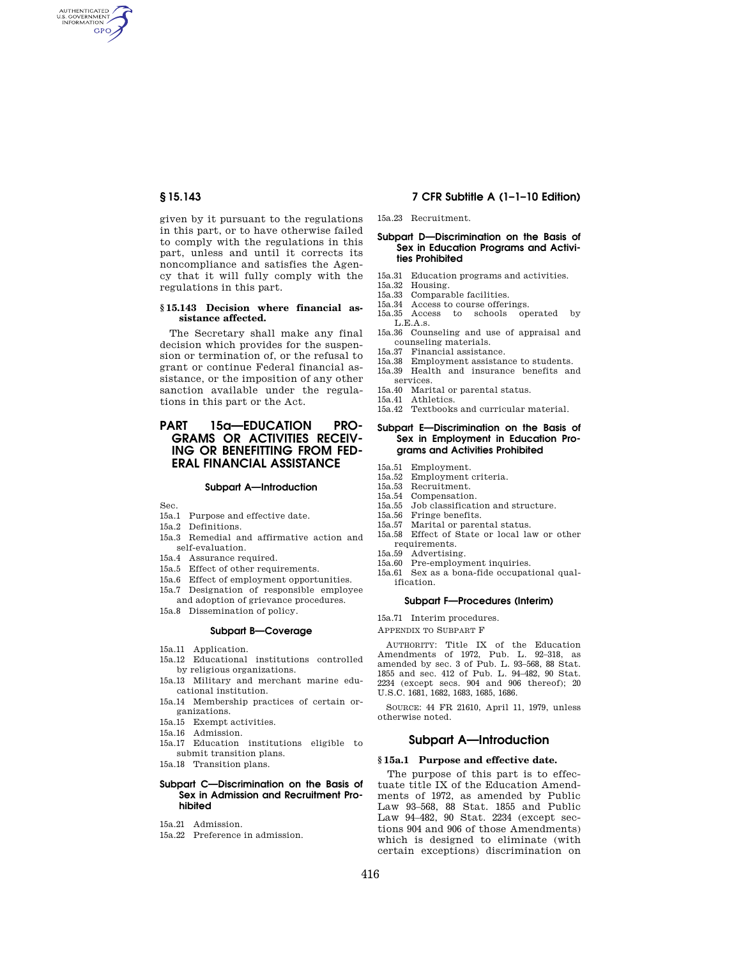AUTHENTICATED<br>U.S. GOVERNMENT<br>INFORMATION **GPO** 

> given by it pursuant to the regulations in this part, or to have otherwise failed to comply with the regulations in this part, unless and until it corrects its noncompliance and satisfies the Agency that it will fully comply with the regulations in this part.

### **§ 15.143 Decision where financial assistance affected.**

The Secretary shall make any final decision which provides for the suspension or termination of, or the refusal to grant or continue Federal financial assistance, or the imposition of any other sanction available under the regulations in this part or the Act.

# **PART 15a—EDUCATION PRO-GRAMS OR ACTIVITIES RECEIV-ING OR BENEFITTING FROM FED-ERAL FINANCIAL ASSISTANCE**

#### **Subpart A—Introduction**

Sec.

- 15a.1 Purpose and effective date.
- 15a.2 Definitions.
- 15a.3 Remedial and affirmative action and self-evaluation.
- 15a.4 Assurance required.
- 15a.5 Effect of other requirements.
- 15a.6 Effect of employment opportunities.
- 15a.7 Designation of responsible employee
- and adoption of grievance procedures.
- 15a.8 Dissemination of policy.

# **Subpart B—Coverage**

- 15a.11 Application.
- 15a.12 Educational institutions controlled by religious organizations.
- 15a.13 Military and merchant marine educational institution.
- 15a.14 Membership practices of certain organizations.
- 15a.15 Exempt activities.
- 15a.16 Admission.
- 15a.17 Education institutions eligible to submit transition plans.
- 15a.18 Transition plans.

## **Subpart C—Discrimination on the Basis of Sex in Admission and Recruitment Prohibited**

- 15a.21 Admission.
- 15a.22 Preference in admission.

# **§ 15.143 7 CFR Subtitle A (1–1–10 Edition)**

15a.23 Recruitment.

#### **Subpart D—Discrimination on the Basis of Sex in Education Programs and Activities Prohibited**

- 15a.31 Education programs and activities.<br>15a.32 Housing
- 15a.32 Housing.
- Comparable facilities.
- 15a.34 Access to course offerings. 15a.35 Access to schools operated by
	- L.E.A.s.
- 15a.36 Counseling and use of appraisal and counseling materials.
- 15a.37 Financial assistance.
- Employment assistance to students.
- 15a.39 Health and insurance benefits and services.
- 15a.40 Marital or parental status.
- 15a.41 Athletics.
- 15a.42 Textbooks and curricular material.

# **Subpart E—Discrimination on the Basis of Sex in Employment in Education Programs and Activities Prohibited**

- 15a.51 Employment.<br>15a.52 Employment.
- 15a.52 Employment criteria.
- 15a.53 Recruitment. Compensation.
- 
- 15a.55 Job classification and structure. 15a.56 Fringe benefits.
- 15a.57 Marital or parental status.
- 15a.58 Effect of State or local law or other
- requirements.
- 15a.59 Advertising.
- 15a.60 Pre-employment inquiries.
- 15a.61 Sex as a bona-fide occupational qualification.

#### **Subpart F—Procedures (Interim)**

15a.71 Interim procedures.

APPENDIX TO SUBPART F

AUTHORITY: Title IX of the Education Amendments of 1972, Pub. L. 92–318, as amended by sec. 3 of Pub. L. 93–568, 88 Stat. 1855 and sec. 412 of Pub. L. 94–482, 90 Stat. 2234 (except secs. 904 and 906 thereof); 20 U.S.C. 1681, 1682, 1683, 1685, 1686.

SOURCE: 44 FR 21610, April 11, 1979, unless otherwise noted.

# **Subpart A—Introduction**

# **§ 15a.1 Purpose and effective date.**

The purpose of this part is to effectuate title IX of the Education Amendments of 1972, as amended by Public Law 93–568, 88 Stat. 1855 and Public Law 94–482, 90 Stat. 2234 (except sections 904 and 906 of those Amendments) which is designed to eliminate (with certain exceptions) discrimination on